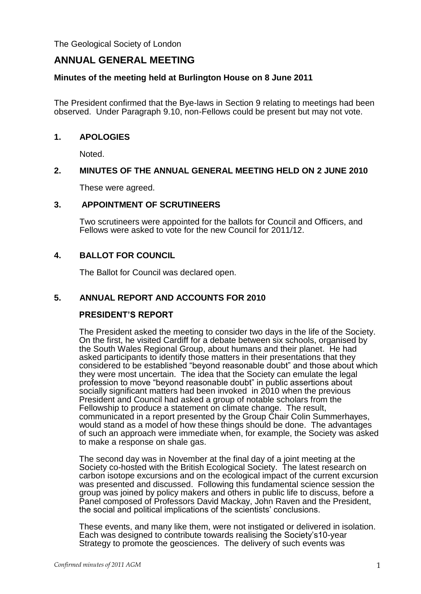The Geological Society of London

# **ANNUAL GENERAL MEETING**

### **Minutes of the meeting held at Burlington House on 8 June 2011**

The President confirmed that the Bye-laws in Section 9 relating to meetings had been observed. Under Paragraph 9.10, non-Fellows could be present but may not vote.

#### **1. APOLOGIES**

Noted.

### **2. MINUTES OF THE ANNUAL GENERAL MEETING HELD ON 2 JUNE 2010**

These were agreed.

### **3. APPOINTMENT OF SCRUTINEERS**

Two scrutineers were appointed for the ballots for Council and Officers, and Fellows were asked to vote for the new Council for 2011/12.

### **4. BALLOT FOR COUNCIL**

The Ballot for Council was declared open.

# **5. ANNUAL REPORT AND ACCOUNTS FOR 2010**

#### **PRESIDENT'S REPORT**

The President asked the meeting to consider two days in the life of the Society. On the first, he visited Cardiff for a debate between six schools, organised by the South Wales Regional Group, about humans and their planet. He had asked participants to identify those matters in their presentations that they considered to be established "beyond reasonable doubt" and those about which they were most uncertain. The idea that the Society can emulate the legal profession to move "beyond reasonable doubt" in public assertions about socially significant matters had been invoked in 2010 when the previous President and Council had asked a group of notable scholars from the Fellowship to produce a statement on climate change. The result, communicated in a report presented by the Group Chair Colin Summerhayes, would stand as a model of how these things should be done. The advantages of such an approach were immediate when, for example, the Society was asked to make a response on shale gas.

The second day was in November at the final day of a joint meeting at the Society co-hosted with the British Ecological Society. The latest research on carbon isotope excursions and on the ecological impact of the current excursion was presented and discussed. Following this fundamental science session the group was joined by policy makers and others in public life to discuss, before a Panel composed of Professors David Mackay, John Raven and the President, the social and political implications of the scientists' conclusions.

These events, and many like them, were not instigated or delivered in isolation. Each was designed to contribute towards realising the Society's10-year Strategy to promote the geosciences. The delivery of such events was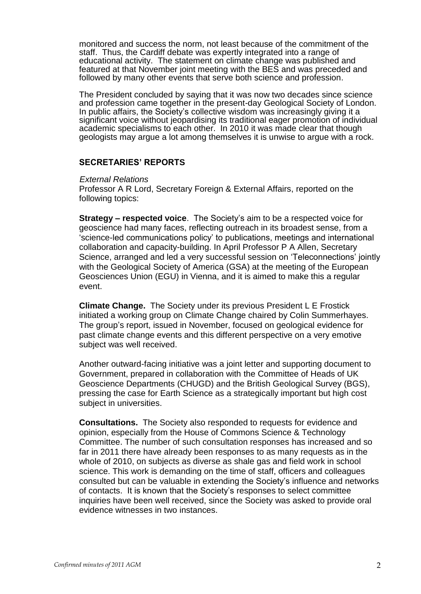monitored and success the norm, not least because of the commitment of the staff. Thus, the Cardiff debate was expertly integrated into a range of educational activity. The statement on climate change was published and featured at that November joint meeting with the BES and was preceded and followed by many other events that serve both science and profession.

The President concluded by saying that it was now two decades since science and profession came together in the present-day Geological Society of London. In public affairs, the Society's collective wisdom was increasingly giving it a significant voice without jeopardising its traditional eager promotion of individual academic specialisms to each other. In 2010 it was made clear that though geologists may argue a lot among themselves it is unwise to argue with a rock.

### **SECRETARIES' REPORTS**

*External Relations*

Professor A R Lord, Secretary Foreign & External Affairs, reported on the following topics:

**Strategy – respected voice**. The Society's aim to be a respected voice for geoscience had many faces, reflecting outreach in its broadest sense, from a 'science-led communications policy' to publications, meetings and international collaboration and capacity-building. In April Professor P A Allen, Secretary Science, arranged and led a very successful session on 'Teleconnections' jointly with the Geological Society of America (GSA) at the meeting of the European Geosciences Union (EGU) in Vienna, and it is aimed to make this a regular event.

**Climate Change.** The Society under its previous President L E Frostick initiated a working group on Climate Change chaired by Colin Summerhayes. The group's report, issued in November, focused on geological evidence for past climate change events and this different perspective on a very emotive subject was well received.

Another outward-facing initiative was a joint letter and supporting document to Government, prepared in collaboration with the Committee of Heads of UK Geoscience Departments (CHUGD) and the British Geological Survey (BGS), pressing the case for Earth Science as a strategically important but high cost subject in universities.

**Consultations.** The Society also responded to requests for evidence and opinion, especially from the House of Commons Science & Technology Committee. The number of such consultation responses has increased and so far in 2011 there have already been responses to as many requests as in the whole of 2010, on subjects as diverse as shale gas and field work in school science. This work is demanding on the time of staff, officers and colleagues consulted but can be valuable in extending the Society's influence and networks of contacts. It is known that the Society's responses to select committee inquiries have been well received, since the Society was asked to provide oral evidence witnesses in two instances.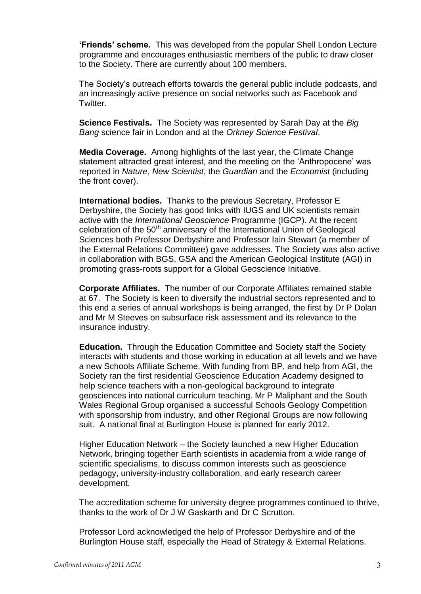**'Friends' scheme.** This was developed from the popular Shell London Lecture programme and encourages enthusiastic members of the public to draw closer to the Society. There are currently about 100 members.

The Society's outreach efforts towards the general public include podcasts, and an increasingly active presence on social networks such as Facebook and Twitter.

**Science Festivals.** The Society was represented by Sarah Day at the *Big Bang* science fair in London and at the *Orkney Science Festival*.

**Media Coverage.** Among highlights of the last year, the Climate Change statement attracted great interest, and the meeting on the 'Anthropocene' was reported in *Nature*, *New Scientist*, the *Guardian* and the *Economist* (including the front cover).

**International bodies.** Thanks to the previous Secretary, Professor E Derbyshire, the Society has good links with IUGS and UK scientists remain active with the *International Geoscience* Programme (IGCP). At the recent celebration of the 50<sup>th</sup> anniversary of the International Union of Geological Sciences both Professor Derbyshire and Professor Iain Stewart (a member of the External Relations Committee) gave addresses. The Society was also active in collaboration with BGS, GSA and the American Geological Institute (AGI) in promoting grass-roots support for a Global Geoscience Initiative.

**Corporate Affiliates.** The number of our Corporate Affiliates remained stable at 67. The Society is keen to diversify the industrial sectors represented and to this end a series of annual workshops is being arranged, the first by Dr P Dolan and Mr M Steeves on subsurface risk assessment and its relevance to the insurance industry.

**Education.** Through the Education Committee and Society staff the Society interacts with students and those working in education at all levels and we have a new Schools Affiliate Scheme. With funding from BP, and help from AGI, the Society ran the first residential Geoscience Education Academy designed to help science teachers with a non-geological background to integrate geosciences into national curriculum teaching. Mr P Maliphant and the South Wales Regional Group organised a successful Schools Geology Competition with sponsorship from industry, and other Regional Groups are now following suit. A national final at Burlington House is planned for early 2012.

Higher Education Network – the Society launched a new Higher Education Network, bringing together Earth scientists in academia from a wide range of scientific specialisms, to discuss common interests such as geoscience pedagogy, university-industry collaboration, and early research career development.

The accreditation scheme for university degree programmes continued to thrive, thanks to the work of Dr J W Gaskarth and Dr C Scrutton.

Professor Lord acknowledged the help of Professor Derbyshire and of the Burlington House staff, especially the Head of Strategy & External Relations.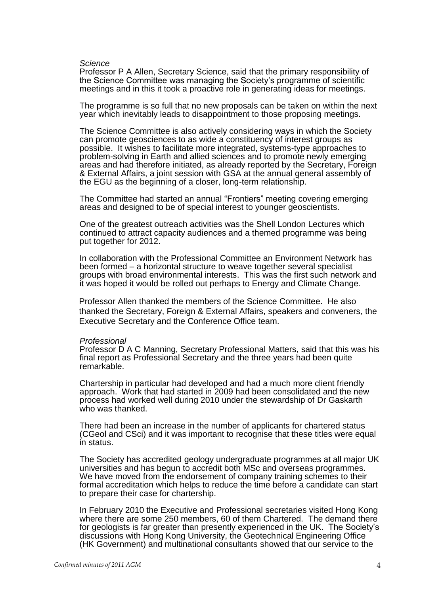#### *Science*

Professor P A Allen, Secretary Science, said that the primary responsibility of the Science Committee was managing the Society's programme of scientific meetings and in this it took a proactive role in generating ideas for meetings.

The programme is so full that no new proposals can be taken on within the next year which inevitably leads to disappointment to those proposing meetings.

The Science Committee is also actively considering ways in which the Society can promote geosciences to as wide a constituency of interest groups as possible. It wishes to facilitate more integrated, systems-type approaches to problem-solving in Earth and allied sciences and to promote newly emerging areas and had therefore initiated, as already reported by the Secretary, Foreign & External Affairs, a joint session with GSA at the annual general assembly of the EGU as the beginning of a closer, long-term relationship.

The Committee had started an annual "Frontiers" meeting covering emerging areas and designed to be of special interest to younger geoscientists.

One of the greatest outreach activities was the Shell London Lectures which continued to attract capacity audiences and a themed programme was being put together for 2012.

In collaboration with the Professional Committee an Environment Network has been formed – a horizontal structure to weave together several specialist groups with broad environmental interests. This was the first such network and it was hoped it would be rolled out perhaps to Energy and Climate Change.

Professor Allen thanked the members of the Science Committee. He also thanked the Secretary, Foreign & External Affairs, speakers and conveners, the Executive Secretary and the Conference Office team.

#### *Professional*

Professor D A C Manning, Secretary Professional Matters, said that this was his final report as Professional Secretary and the three years had been quite remarkable.

Chartership in particular had developed and had a much more client friendly approach. Work that had started in 2009 had been consolidated and the new process had worked well during 2010 under the stewardship of Dr Gaskarth who was thanked.

There had been an increase in the number of applicants for chartered status (CGeol and CSci) and it was important to recognise that these titles were equal in status.

The Society has accredited geology undergraduate programmes at all major UK universities and has begun to accredit both MSc and overseas programmes. We have moved from the endorsement of company training schemes to their formal accreditation which helps to reduce the time before a candidate can start to prepare their case for chartership.

In February 2010 the Executive and Professional secretaries visited Hong Kong where there are some 250 members, 60 of them Chartered. The demand there for geologists is far greater than presently experienced in the UK. The Society's discussions with Hong Kong University, the Geotechnical Engineering Office (HK Government) and multinational consultants showed that our service to the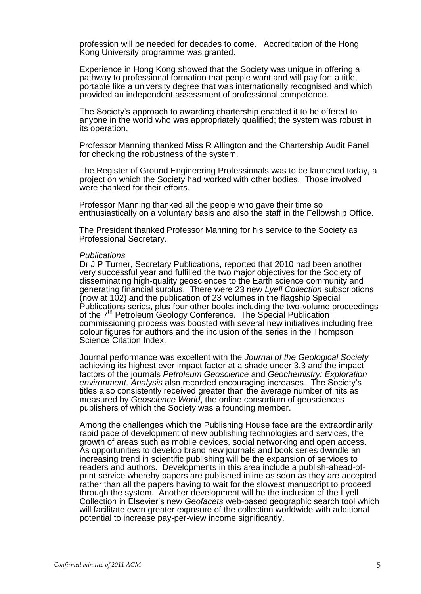profession will be needed for decades to come. Accreditation of the Hong Kong University programme was granted.

Experience in Hong Kong showed that the Society was unique in offering a pathway to professional formation that people want and will pay for; a title, portable like a university degree that was internationally recognised and which provided an independent assessment of professional competence.

The Society's approach to awarding chartership enabled it to be offered to anyone in the world who was appropriately qualified; the system was robust in its operation.

Professor Manning thanked Miss R Allington and the Chartership Audit Panel for checking the robustness of the system.

The Register of Ground Engineering Professionals was to be launched today, a project on which the Society had worked with other bodies. Those involved were thanked for their efforts.

Professor Manning thanked all the people who gave their time so enthusiastically on a voluntary basis and also the staff in the Fellowship Office.

The President thanked Professor Manning for his service to the Society as Professional Secretary.

#### *Publications*

Dr J P Turner, Secretary Publications, reported that 2010 had been another very successful year and fulfilled the two major objectives for the Society of disseminating high-quality geosciences to the Earth science community and generating financial surplus. There were 23 new *Lyell Collection* subscriptions (now at 102) and the publication of 23 volumes in the flagship Special Publications series, plus four other books including the two-volume proceedings of the 7<sup>th</sup> Petroleum Geology Conference. The Special Publication commissioning process was boosted with several new initiatives including free colour figures for authors and the inclusion of the series in the Thompson Science Citation Index.

Journal performance was excellent with the *Journal of the Geological Society* achieving its highest ever impact factor at a shade under 3.3 and the impact factors of the journals *Petroleum Geoscience* and *Geochemistry: Exploration environment, Analysis* also recorded encouraging increases. The Society's titles also consistently received greater than the average number of hits as measured by *Geoscience World*, the online consortium of geosciences publishers of which the Society was a founding member.

Among the challenges which the Publishing House face are the extraordinarily rapid pace of development of new publishing technologies and services, the growth of areas such as mobile devices, social networking and open access. As opportunities to develop brand new journals and book series dwindle an increasing trend in scientific publishing will be the expansion of services to readers and authors. Developments in this area include a publish-ahead-ofprint service whereby papers are published inline as soon as they are accepted rather than all the papers having to wait for the slowest manuscript to proceed through the system. Another development will be the inclusion of the Lyell Collection in Elsevier's new *Geofacets* web-based geographic search tool which will facilitate even greater exposure of the collection worldwide with additional potential to increase pay-per-view income significantly.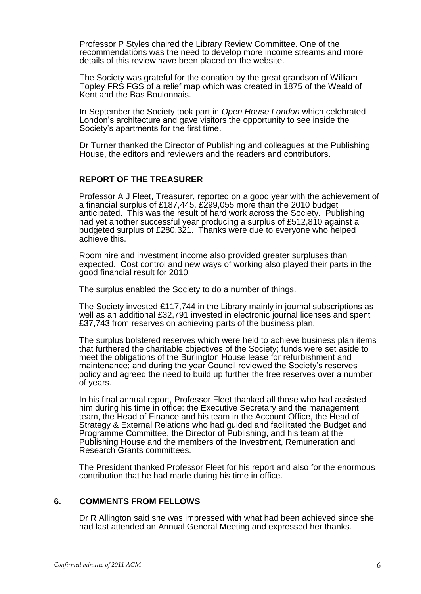Professor P Styles chaired the Library Review Committee. One of the recommendations was the need to develop more income streams and more details of this review have been placed on the website.

The Society was grateful for the donation by the great grandson of William Topley FRS FGS of a relief map which was created in 1875 of the Weald of Kent and the Bas Boulonnais.

In September the Society took part in *Open House London* which celebrated London's architecture and gave visitors the opportunity to see inside the Society's apartments for the first time.

Dr Turner thanked the Director of Publishing and colleagues at the Publishing House, the editors and reviewers and the readers and contributors.

### **REPORT OF THE TREASURER**

Professor A J Fleet, Treasurer, reported on a good year with the achievement of a financial surplus of £187,445, £299,055 more than the 2010 budget anticipated. This was the result of hard work across the Society. Publishing had yet another successful year producing a surplus of £512,810 against a budgeted surplus of £280,321. Thanks were due to everyone who helped achieve this.

Room hire and investment income also provided greater surpluses than expected. Cost control and new ways of working also played their parts in the good financial result for 2010.

The surplus enabled the Society to do a number of things.

The Society invested £117,744 in the Library mainly in journal subscriptions as well as an additional £32,791 invested in electronic journal licenses and spent £37,743 from reserves on achieving parts of the business plan.

The surplus bolstered reserves which were held to achieve business plan items that furthered the charitable objectives of the Society; funds were set aside to meet the obligations of the Burlington House lease for refurbishment and maintenance; and during the year Council reviewed the Society's reserves policy and agreed the need to build up further the free reserves over a number of years.

In his final annual report, Professor Fleet thanked all those who had assisted him during his time in office: the Executive Secretary and the management team, the Head of Finance and his team in the Account Office, the Head of Strategy & External Relations who had guided and facilitated the Budget and Programme Committee, the Director of Publishing, and his team at the Publishing House and the members of the Investment, Remuneration and Research Grants committees.

The President thanked Professor Fleet for his report and also for the enormous contribution that he had made during his time in office.

#### **6. COMMENTS FROM FELLOWS**

Dr R Allington said she was impressed with what had been achieved since she had last attended an Annual General Meeting and expressed her thanks.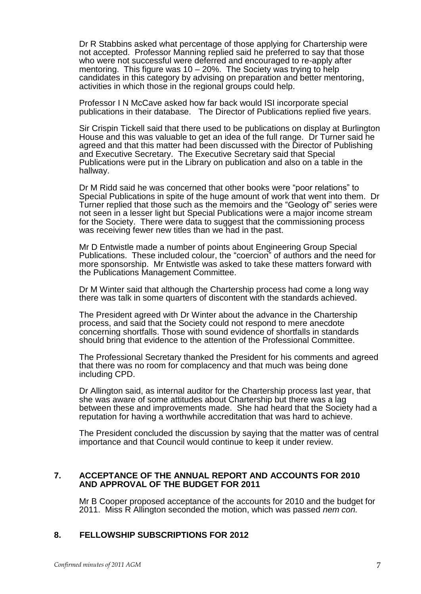Dr R Stabbins asked what percentage of those applying for Chartership were not accepted. Professor Manning replied said he preferred to say that those who were not successful were deferred and encouraged to re-apply after mentoring. This figure was  $10 - 20\%$ . The Society was trying to help candidates in this category by advising on preparation and better mentoring, activities in which those in the regional groups could help.

Professor I N McCave asked how far back would ISI incorporate special publications in their database. The Director of Publications replied five years.

Sir Crispin Tickell said that there used to be publications on display at Burlington House and this was valuable to get an idea of the full range. Dr Turner said he agreed and that this matter had been discussed with the Director of Publishing and Executive Secretary. The Executive Secretary said that Special Publications were put in the Library on publication and also on a table in the hallway.

Dr M Ridd said he was concerned that other books were "poor relations" to Special Publications in spite of the huge amount of work that went into them. Dr Turner replied that those such as the memoirs and the "Geology of" series were not seen in a lesser light but Special Publications were a major income stream for the Society. There were data to suggest that the commissioning process was receiving fewer new titles than we had in the past.

Mr D Entwistle made a number of points about Engineering Group Special Publications. These included colour, the "coercion" of authors and the need for more sponsorship. Mr Entwistle was asked to take these matters forward with the Publications Management Committee.

Dr M Winter said that although the Chartership process had come a long way there was talk in some quarters of discontent with the standards achieved.

The President agreed with Dr Winter about the advance in the Chartership process, and said that the Society could not respond to mere anecdote concerning shortfalls. Those with sound evidence of shortfalls in standards should bring that evidence to the attention of the Professional Committee.

The Professional Secretary thanked the President for his comments and agreed that there was no room for complacency and that much was being done including CPD.

Dr Allington said, as internal auditor for the Chartership process last year, that she was aware of some attitudes about Chartership but there was a lag between these and improvements made. She had heard that the Society had a reputation for having a worthwhile accreditation that was hard to achieve.

The President concluded the discussion by saying that the matter was of central importance and that Council would continue to keep it under review.

#### **7. ACCEPTANCE OF THE ANNUAL REPORT AND ACCOUNTS FOR 2010 AND APPROVAL OF THE BUDGET FOR 2011**

Mr B Cooper proposed acceptance of the accounts for 2010 and the budget for 2011. Miss R Allington seconded the motion, which was passed *nem con.*

# **8. FELLOWSHIP SUBSCRIPTIONS FOR 2012**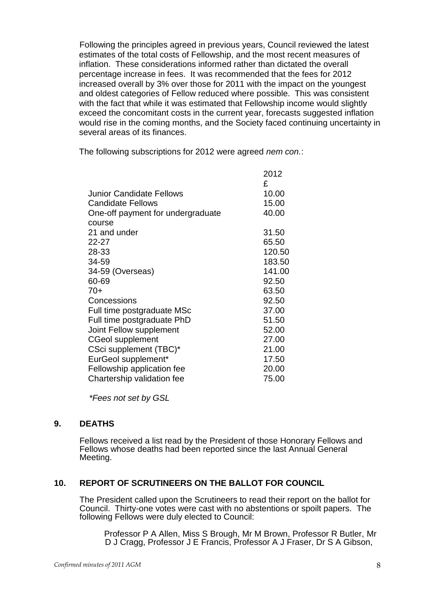Following the principles agreed in previous years, Council reviewed the latest estimates of the total costs of Fellowship, and the most recent measures of inflation. These considerations informed rather than dictated the overall percentage increase in fees. It was recommended that the fees for 2012 increased overall by 3% over those for 2011 with the impact on the youngest and oldest categories of Fellow reduced where possible. This was consistent with the fact that while it was estimated that Fellowship income would slightly exceed the concomitant costs in the current year, forecasts suggested inflation would rise in the coming months, and the Society faced continuing uncertainty in several areas of its finances.

The following subscriptions for 2012 were agreed *nem con.*:

|                                   | 2012<br>£ |
|-----------------------------------|-----------|
| Junior Candidate Fellows          | 10.00     |
| <b>Candidate Fellows</b>          | 15.00     |
| One-off payment for undergraduate | 40.00     |
| course                            |           |
| 21 and under                      | 31.50     |
| 22-27                             | 65.50     |
| 28-33                             | 120.50    |
| 34-59                             | 183.50    |
| 34-59 (Overseas)                  | 141.00    |
| 60-69                             | 92.50     |
| 70+                               | 63.50     |
| Concessions                       | 92.50     |
| Full time postgraduate MSc        | 37.00     |
| Full time postgraduate PhD        | 51.50     |
| Joint Fellow supplement           | 52.00     |
| <b>CGeol supplement</b>           | 27.00     |
| CSci supplement (TBC)*            | 21.00     |
| EurGeol supplement*               | 17.50     |
| Fellowship application fee        | 20.00     |
| Chartership validation fee        | 75.00     |
|                                   |           |

*\*Fees not set by GSL*

# **9. DEATHS**

Fellows received a list read by the President of those Honorary Fellows and Fellows whose deaths had been reported since the last Annual General Meeting.

# **10. REPORT OF SCRUTINEERS ON THE BALLOT FOR COUNCIL**

The President called upon the Scrutineers to read their report on the ballot for Council. Thirty-one votes were cast with no abstentions or spoilt papers. The following Fellows were duly elected to Council:

Professor P A Allen, Miss S Brough, Mr M Brown, Professor R Butler, Mr D J Cragg, Professor J E Francis, Professor A J Fraser, Dr S A Gibson,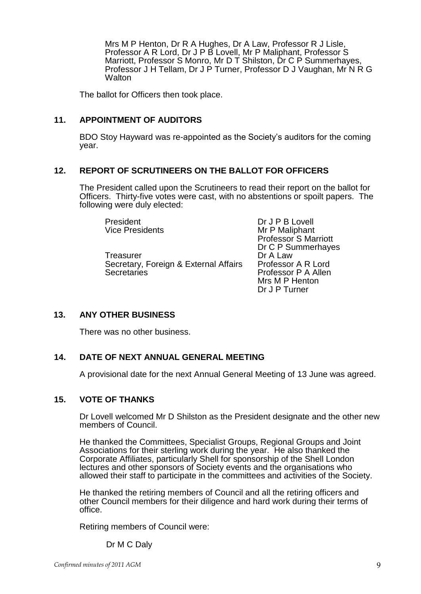Mrs M P Henton, Dr R A Hughes, Dr A Law, Professor R J Lisle, Professor A R Lord, Dr J P B Lovell, Mr P Maliphant, Professor S Marriott, Professor S Monro, Mr D T Shilston, Dr C P Summerhaves, Professor J H Tellam, Dr J P Turner, Professor D J Vaughan, Mr N R G **Walton** 

The ballot for Officers then took place.

### **11. APPOINTMENT OF AUDITORS**

BDO Stoy Hayward was re-appointed as the Society's auditors for the coming year.

### **12. REPORT OF SCRUTINEERS ON THE BALLOT FOR OFFICERS**

The President called upon the Scrutineers to read their report on the ballot for Officers. Thirty-five votes were cast, with no abstentions or spoilt papers. The following were duly elected:

President Dr J P B Lovell<br>Vice Presidents Nr P Maliphant

Treasurer **Dr A Law** Secretary, Foreign & External Affairs Professor A R Lord Secretaries **Professor P A Allen** 

**Mr P Maliphant** Professor S Marriott Dr C P Summerhayes Mrs M P Henton Dr J P Turner

# **13. ANY OTHER BUSINESS**

There was no other business.

# **14. DATE OF NEXT ANNUAL GENERAL MEETING**

A provisional date for the next Annual General Meeting of 13 June was agreed.

#### **15. VOTE OF THANKS**

Dr Lovell welcomed Mr D Shilston as the President designate and the other new members of Council.

He thanked the Committees, Specialist Groups, Regional Groups and Joint Associations for their sterling work during the year. He also thanked the Corporate Affiliates, particularly Shell for sponsorship of the Shell London lectures and other sponsors of Society events and the organisations who allowed their staff to participate in the committees and activities of the Society.

He thanked the retiring members of Council and all the retiring officers and other Council members for their diligence and hard work during their terms of office.

Retiring members of Council were:

Dr M C Daly